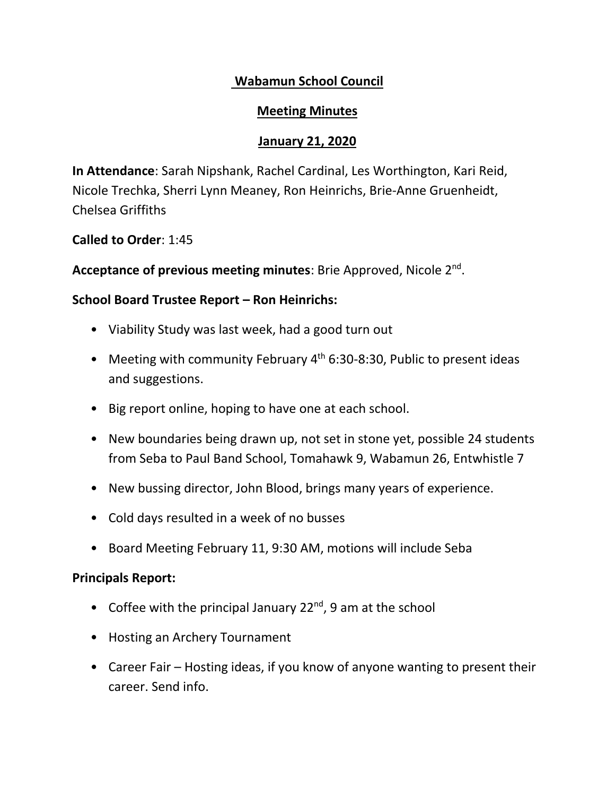# **Wabamun School Council**

### **Meeting Minutes**

## **January 21, 2020**

**In Attendance**: Sarah Nipshank, Rachel Cardinal, Les Worthington, Kari Reid, Nicole Trechka, Sherri Lynn Meaney, Ron Heinrichs, Brie-Anne Gruenheidt, Chelsea Griffiths

#### **Called to Order**: 1:45

Acceptance of previous meeting minutes: Brie Approved, Nicole 2<sup>nd</sup>.

## **School Board Trustee Report – Ron Heinrichs:**

- Viability Study was last week, had a good turn out
- Meeting with community February  $4<sup>th</sup>$  6:30-8:30, Public to present ideas and suggestions.
- Big report online, hoping to have one at each school.
- New boundaries being drawn up, not set in stone yet, possible 24 students from Seba to Paul Band School, Tomahawk 9, Wabamun 26, Entwhistle 7
- New bussing director, John Blood, brings many years of experience.
- Cold days resulted in a week of no busses
- Board Meeting February 11, 9:30 AM, motions will include Seba

### **Principals Report:**

- Coffee with the principal January  $22^{nd}$ , 9 am at the school
- Hosting an Archery Tournament
- Career Fair Hosting ideas, if you know of anyone wanting to present their career. Send info.